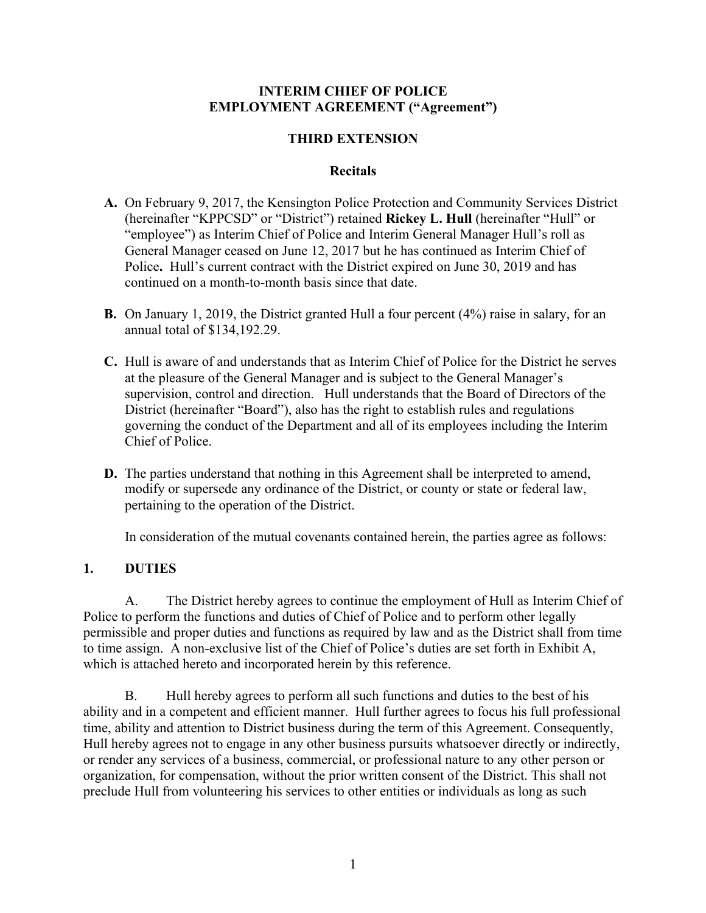#### **INTERIM CHIEF OF POLICE EMPLOYMENT AGREEMENT ("Agreement")**

## **THIRD EXTENSION**

#### **Recitals**

- **A.** On February 9, 2017, the Kensington Police Protection and Community Services District (hereinafter "KPPCSD" or "District") retained **Rickey L. Hull** (hereinafter "Hull" or "employee") as Interim Chief of Police and Interim General Manager Hull's roll as General Manager ceased on June 12, 2017 but he has continued as Interim Chief of Police**.** Hull's current contract with the District expired on June 30, 2019 and has continued on a month-to-month basis since that date.
- **B.** On January 1, 2019, the District granted Hull a four percent (4%) raise in salary, for an annual total of \$134,192.29.
- **C.** Hull is aware of and understands that as Interim Chief of Police for the District he serves at the pleasure of the General Manager and is subject to the General Manager's supervision, control and direction. Hull understands that the Board of Directors of the District (hereinafter "Board"), also has the right to establish rules and regulations governing the conduct of the Department and all of its employees including the Interim Chief of Police.
- **D.** The parties understand that nothing in this Agreement shall be interpreted to amend, modify or supersede any ordinance of the District, or county or state or federal law, pertaining to the operation of the District.

In consideration of the mutual covenants contained herein, the parties agree as follows:

## **1. DUTIES**

A. The District hereby agrees to continue the employment of Hull as Interim Chief of Police to perform the functions and duties of Chief of Police and to perform other legally permissible and proper duties and functions as required by law and as the District shall from time to time assign. A non-exclusive list of the Chief of Police's duties are set forth in Exhibit A, which is attached hereto and incorporated herein by this reference.

B. Hull hereby agrees to perform all such functions and duties to the best of his ability and in a competent and efficient manner. Hull further agrees to focus his full professional time, ability and attention to District business during the term of this Agreement. Consequently, Hull hereby agrees not to engage in any other business pursuits whatsoever directly or indirectly, or render any services of a business, commercial, or professional nature to any other person or organization, for compensation, without the prior written consent of the District. This shall not preclude Hull from volunteering his services to other entities or individuals as long as such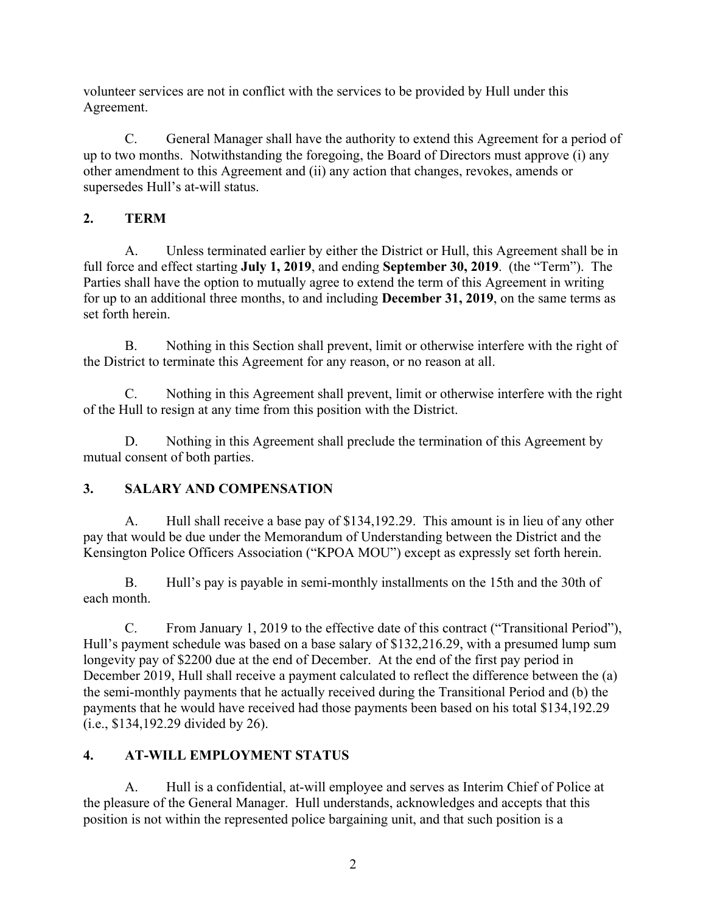volunteer services are not in conflict with the services to be provided by Hull under this Agreement.

C. General Manager shall have the authority to extend this Agreement for a period of up to two months. Notwithstanding the foregoing, the Board of Directors must approve (i) any other amendment to this Agreement and (ii) any action that changes, revokes, amends or supersedes Hull's at-will status.

# **2. TERM**

A. Unless terminated earlier by either the District or Hull, this Agreement shall be in full force and effect starting **July 1, 2019**, and ending **September 30, 2019**. (the "Term"). The Parties shall have the option to mutually agree to extend the term of this Agreement in writing for up to an additional three months, to and including **December 31, 2019**, on the same terms as set forth herein

B. Nothing in this Section shall prevent, limit or otherwise interfere with the right of the District to terminate this Agreement for any reason, or no reason at all.

C. Nothing in this Agreement shall prevent, limit or otherwise interfere with the right of the Hull to resign at any time from this position with the District.

D. Nothing in this Agreement shall preclude the termination of this Agreement by mutual consent of both parties.

# **3. SALARY AND COMPENSATION**

A. Hull shall receive a base pay of \$134,192.29. This amount is in lieu of any other pay that would be due under the Memorandum of Understanding between the District and the Kensington Police Officers Association ("KPOA MOU") except as expressly set forth herein.

B. Hull's pay is payable in semi-monthly installments on the 15th and the 30th of each month.

C. From January 1, 2019 to the effective date of this contract ("Transitional Period"), Hull's payment schedule was based on a base salary of \$132,216.29, with a presumed lump sum longevity pay of \$2200 due at the end of December. At the end of the first pay period in December 2019, Hull shall receive a payment calculated to reflect the difference between the (a) the semi-monthly payments that he actually received during the Transitional Period and (b) the payments that he would have received had those payments been based on his total \$134,192.29 (i.e., \$134,192.29 divided by 26).

# **4. AT-WILL EMPLOYMENT STATUS**

A. Hull is a confidential, at-will employee and serves as Interim Chief of Police at the pleasure of the General Manager. Hull understands, acknowledges and accepts that this position is not within the represented police bargaining unit, and that such position is a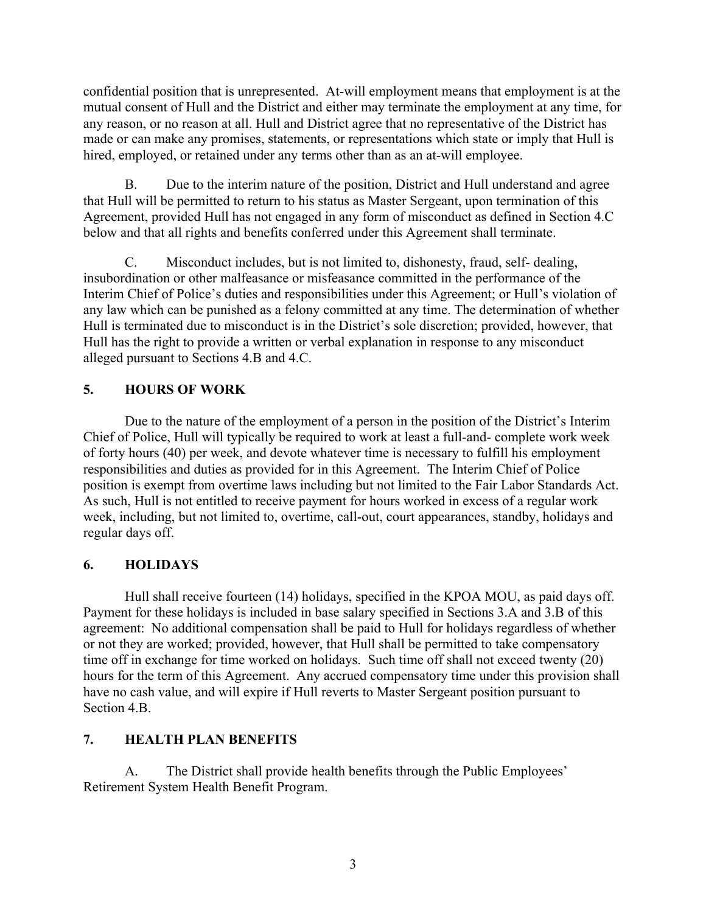confidential position that is unrepresented. At-will employment means that employment is at the mutual consent of Hull and the District and either may terminate the employment at any time, for any reason, or no reason at all. Hull and District agree that no representative of the District has made or can make any promises, statements, or representations which state or imply that Hull is hired, employed, or retained under any terms other than as an at-will employee.

B. Due to the interim nature of the position, District and Hull understand and agree that Hull will be permitted to return to his status as Master Sergeant, upon termination of this Agreement, provided Hull has not engaged in any form of misconduct as defined in Section 4.C below and that all rights and benefits conferred under this Agreement shall terminate.

C. Misconduct includes, but is not limited to, dishonesty, fraud, self- dealing, insubordination or other malfeasance or misfeasance committed in the performance of the Interim Chief of Police's duties and responsibilities under this Agreement; or Hull's violation of any law which can be punished as a felony committed at any time. The determination of whether Hull is terminated due to misconduct is in the District's sole discretion; provided, however, that Hull has the right to provide a written or verbal explanation in response to any misconduct alleged pursuant to Sections 4.B and 4.C.

## **5. HOURS OF WORK**

Due to the nature of the employment of a person in the position of the District's Interim Chief of Police, Hull will typically be required to work at least a full-and- complete work week of forty hours (40) per week, and devote whatever time is necessary to fulfill his employment responsibilities and duties as provided for in this Agreement. The Interim Chief of Police position is exempt from overtime laws including but not limited to the Fair Labor Standards Act. As such, Hull is not entitled to receive payment for hours worked in excess of a regular work week, including, but not limited to, overtime, call-out, court appearances, standby, holidays and regular days off.

## **6. HOLIDAYS**

Hull shall receive fourteen (14) holidays, specified in the KPOA MOU, as paid days off. Payment for these holidays is included in base salary specified in Sections 3.A and 3.B of this agreement: No additional compensation shall be paid to Hull for holidays regardless of whether or not they are worked; provided, however, that Hull shall be permitted to take compensatory time off in exchange for time worked on holidays. Such time off shall not exceed twenty (20) hours for the term of this Agreement. Any accrued compensatory time under this provision shall have no cash value, and will expire if Hull reverts to Master Sergeant position pursuant to Section 4.B.

## **7. HEALTH PLAN BENEFITS**

A. The District shall provide health benefits through the Public Employees' Retirement System Health Benefit Program.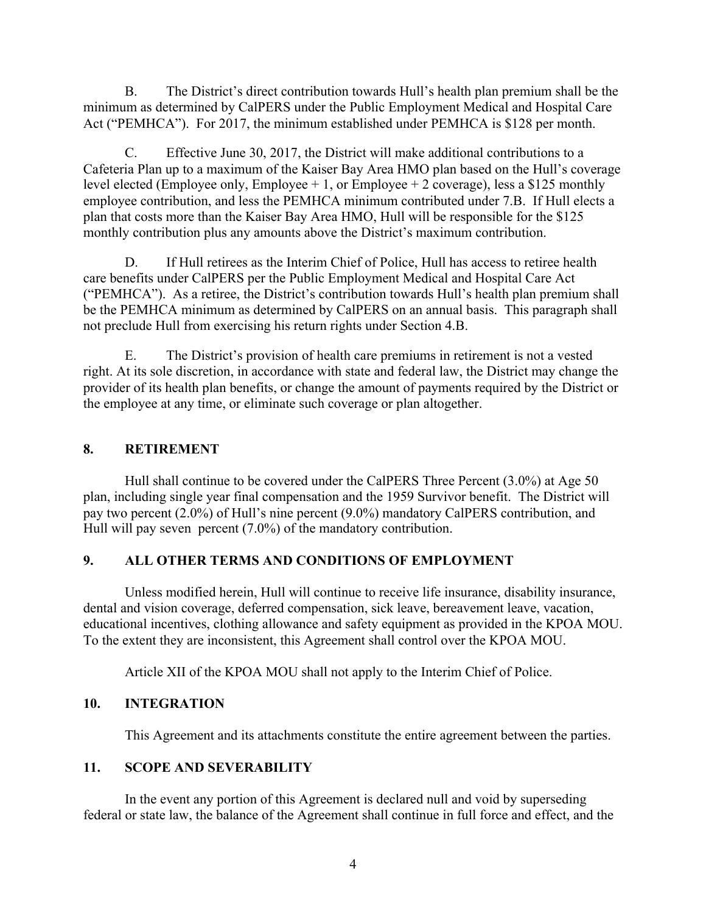B. The District's direct contribution towards Hull's health plan premium shall be the minimum as determined by CalPERS under the Public Employment Medical and Hospital Care Act ("PEMHCA"). For 2017, the minimum established under PEMHCA is \$128 per month.

C. Effective June 30, 2017, the District will make additional contributions to a Cafeteria Plan up to a maximum of the Kaiser Bay Area HMO plan based on the Hull's coverage level elected (Employee only, Employee  $+1$ , or Employee  $+2$  coverage), less a \$125 monthly employee contribution, and less the PEMHCA minimum contributed under 7.B. If Hull elects a plan that costs more than the Kaiser Bay Area HMO, Hull will be responsible for the \$125 monthly contribution plus any amounts above the District's maximum contribution.

D. If Hull retirees as the Interim Chief of Police, Hull has access to retiree health care benefits under CalPERS per the Public Employment Medical and Hospital Care Act ("PEMHCA"). As a retiree, the District's contribution towards Hull's health plan premium shall be the PEMHCA minimum as determined by CalPERS on an annual basis. This paragraph shall not preclude Hull from exercising his return rights under Section 4.B.

E. The District's provision of health care premiums in retirement is not a vested right. At its sole discretion, in accordance with state and federal law, the District may change the provider of its health plan benefits, or change the amount of payments required by the District or the employee at any time, or eliminate such coverage or plan altogether.

#### **8. RETIREMENT**

Hull shall continue to be covered under the CalPERS Three Percent (3.0%) at Age 50 plan, including single year final compensation and the 1959 Survivor benefit. The District will pay two percent (2.0%) of Hull's nine percent (9.0%) mandatory CalPERS contribution, and Hull will pay seven percent (7.0%) of the mandatory contribution.

## **9. ALL OTHER TERMS AND CONDITIONS OF EMPLOYMENT**

Unless modified herein, Hull will continue to receive life insurance, disability insurance, dental and vision coverage, deferred compensation, sick leave, bereavement leave, vacation, educational incentives, clothing allowance and safety equipment as provided in the KPOA MOU. To the extent they are inconsistent, this Agreement shall control over the KPOA MOU.

Article XII of the KPOA MOU shall not apply to the Interim Chief of Police.

## **10. INTEGRATION**

This Agreement and its attachments constitute the entire agreement between the parties.

## **11. SCOPE AND SEVERABILITY**

In the event any portion of this Agreement is declared null and void by superseding federal or state law, the balance of the Agreement shall continue in full force and effect, and the